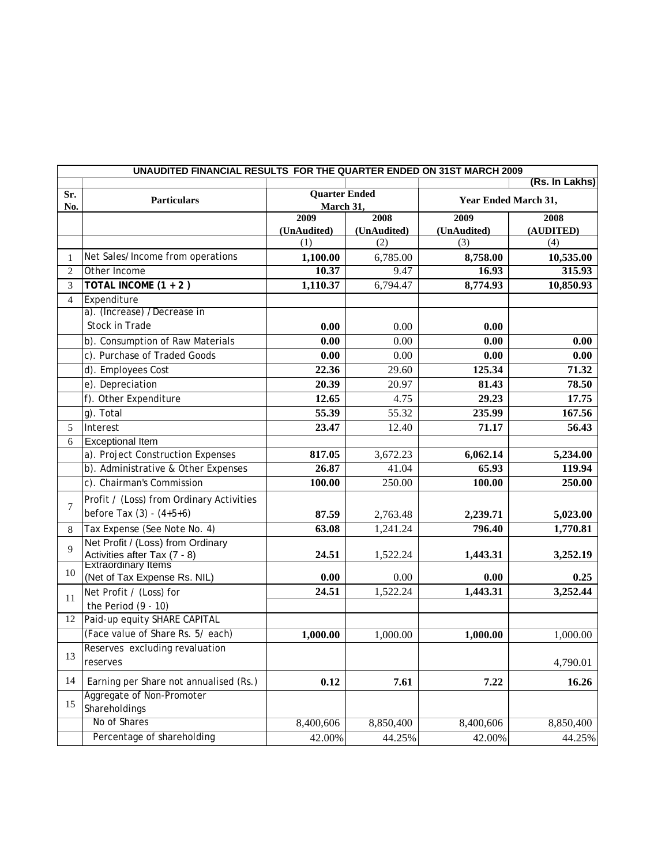|                | UNAUDITED FINANCIAL RESULTS FOR THE QUARTER ENDED ON 31ST MARCH 2009 |                                   |             |                      |                |  |  |
|----------------|----------------------------------------------------------------------|-----------------------------------|-------------|----------------------|----------------|--|--|
|                |                                                                      |                                   |             |                      | (Rs. In Lakhs) |  |  |
| Sr.<br>No.     | <b>Particulars</b>                                                   | <b>Quarter Ended</b><br>March 31, |             | Year Ended March 31, |                |  |  |
|                |                                                                      | 2009                              | 2008        | 2009                 | 2008           |  |  |
|                |                                                                      | (UnAudited)                       | (UnAudited) | (UnAudited)          | (AUDITED)      |  |  |
|                |                                                                      | (1)                               | (2)         | (3)                  | (4)            |  |  |
| $\mathbf{1}$   | Net Sales/Income from operations                                     | 1,100.00                          | 6,785.00    | 8,758.00             | 10,535.00      |  |  |
| $\overline{c}$ | Other Income                                                         | 10.37                             | 9.47        | 16.93                | 315.93         |  |  |
| 3              | TOTAL INCOME $(1 + 2)$                                               | 1,110.37                          | 6,794.47    | 8,774.93             | 10,850.93      |  |  |
| $\overline{4}$ | Expenditure                                                          |                                   |             |                      |                |  |  |
|                | a). (Increase) /Decrease in                                          |                                   |             |                      |                |  |  |
|                | Stock in Trade                                                       | 0.00                              | 0.00        | 0.00                 |                |  |  |
|                | b). Consumption of Raw Materials                                     | 0.00                              | 0.00        | 0.00                 | 0.00           |  |  |
|                | c). Purchase of Traded Goods                                         | 0.00                              | 0.00        | 0.00                 | 0.00           |  |  |
|                | d). Employees Cost                                                   | 22.36                             | 29.60       | 125.34               | 71.32          |  |  |
|                | e). Depreciation                                                     | 20.39                             | 20.97       | 81.43                | 78.50          |  |  |
|                | f). Other Expenditure                                                | 12.65                             | 4.75        | 29.23                | 17.75          |  |  |
|                | $g$ ). Total                                                         | 55.39                             | 55.32       | 235.99               | 167.56         |  |  |
| 5              | Interest                                                             | 23.47                             | 12.40       | 71.17                | 56.43          |  |  |
| 6              | <b>Exceptional Item</b>                                              |                                   |             |                      |                |  |  |
|                | a). Project Construction Expenses                                    | 817.05                            | 3,672.23    | 6,062.14             | 5,234.00       |  |  |
|                | b). Administrative & Other Expenses                                  | 26.87                             | 41.04       | 65.93                | 119.94         |  |  |
|                | c). Chairman's Commission                                            | 100.00                            | 250.00      | 100.00               | 250.00         |  |  |
|                | Profit / (Loss) from Ordinary Activities                             |                                   |             |                      |                |  |  |
| 7              | before Tax $(3) - (4+5+6)$                                           | 87.59                             | 2,763.48    | 2,239.71             | 5,023.00       |  |  |
| 8              | Tax Expense (See Note No. 4)                                         | 63.08                             | 1,241.24    | 796.40               | 1,770.81       |  |  |
|                | Net Profit / (Loss) from Ordinary                                    |                                   |             |                      |                |  |  |
| 9              |                                                                      | 24.51                             | 1,522.24    | 1,443.31             | 3,252.19       |  |  |
|                | Activities after Tax (7 - 8)<br>Extraordinary Items                  |                                   |             |                      |                |  |  |
| 10             | (Net of Tax Expense Rs. NIL)                                         | 0.00                              | 0.00        | 0.00                 | 0.25           |  |  |
| 11             | Net Profit / (Loss) for                                              | 24.51                             | 1,522.24    | 1,443.31             | 3,252.44       |  |  |
|                | the Period $(9 - 10)$                                                |                                   |             |                      |                |  |  |
| 12             | Paid-up equity SHARE CAPITAL                                         |                                   |             |                      |                |  |  |
|                | (Face value of Share Rs. 5/ each)                                    | 1,000.00                          | 1,000.00    | 1,000.00             | 1,000.00       |  |  |
| 13             | Reserves excluding revaluation                                       |                                   |             |                      |                |  |  |
|                | reserves                                                             |                                   |             |                      | 4,790.01       |  |  |
| 14             | Earning per Share not annualised (Rs.)                               | 0.12                              | 7.61        | 7.22                 | 16.26          |  |  |
|                | Aggregate of Non-Promoter                                            |                                   |             |                      |                |  |  |
| 15             | Shareholdings                                                        |                                   |             |                      |                |  |  |
|                | No of Shares                                                         | 8,400,606                         | 8,850,400   | 8,400,606            | 8,850,400      |  |  |
|                | Percentage of shareholding                                           | 42.00%                            | 44.25%      | 42.00%               | 44.25%         |  |  |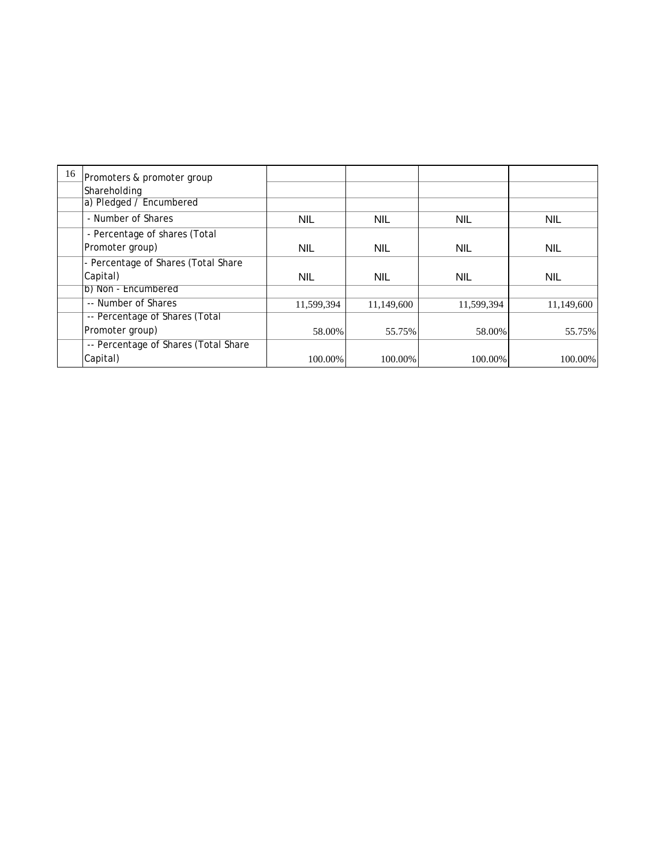| 16 | Promoters & promoter group           |            |            |            |            |
|----|--------------------------------------|------------|------------|------------|------------|
|    | Shareholding                         |            |            |            |            |
|    | a) Pledged / Encumbered              |            |            |            |            |
|    | - Number of Shares                   | <b>NIL</b> | <b>NIL</b> | <b>NIL</b> | <b>NIL</b> |
|    | - Percentage of shares (Total        |            |            |            |            |
|    | Promoter group)                      | <b>NIL</b> | <b>NIL</b> | <b>NIL</b> | <b>NIL</b> |
|    | - Percentage of Shares (Total Share  |            |            |            |            |
|    | Capital)                             | <b>NIL</b> | <b>NIL</b> | <b>NIL</b> | <b>NIL</b> |
|    | b) Non - Encumbered                  |            |            |            |            |
|    | -- Number of Shares                  | 11,599,394 | 11,149,600 | 11,599,394 | 11,149,600 |
|    | -- Percentage of Shares (Total       |            |            |            |            |
|    | Promoter group)                      | 58.00%     | 55.75%     | 58.00%     | 55.75%     |
|    | -- Percentage of Shares (Total Share |            |            |            |            |
|    | Capital)                             | 100.00%    | 100.00%    | 100.00%    | 100.00%    |